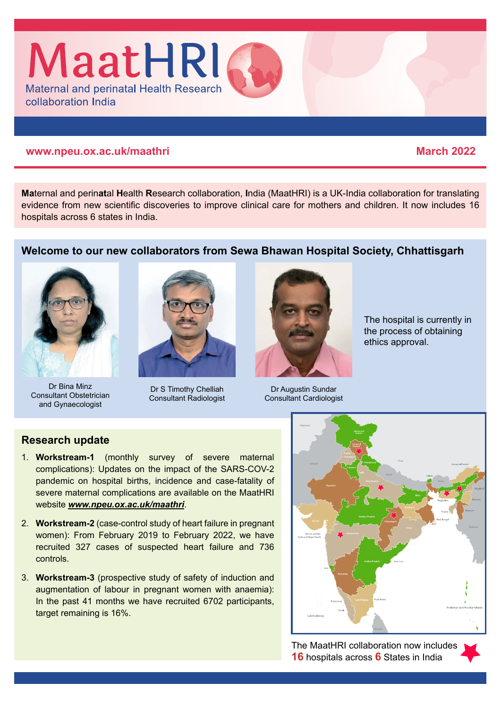

#### **www.npeu.ox.ac.uk/maathri March 2022**

**Ma**ternal and perin**at**al **H**ealth **R**esearch collaboration, **I**ndia (MaatHRI) is a UK-India collaboration for translating evidence from new scientific discoveries to improve clinical care for mothers and children. It now includes 16 hospitals across 6 states in India.

## **Welcome to our new collaborators from Sewa Bhawan Hospital Society, Chhattisgarh**



Dr Bina Minz Consultant Obstetrician and Gynaecologist



Dr S Timothy Chelliah Consultant Radiologist



The hospital is currently in the process of obtaining ethics approval.

Dr Augustin Sundar Consultant Cardiologist

# **Research update**

- 1. **Workstream-1** (monthly survey of severe maternal complications): Updates on the impact of the SARS-COV-2 pandemic on hospital births, incidence and case-fatality of severe maternal complications are available on the MaatHRI website *[www.npeu.ox.ac.uk/maathri](https://www.npeu.ox.ac.uk/maathri)*.
- 2. **Workstream-2** (case-control study of heart failure in pregnant women): From February 2019 to February 2022, we have recruited 327 cases of suspected heart failure and 736 controls.
- 3. **Workstream-3** (prospective study of safety of induction and augmentation of labour in pregnant women with anaemia): In the past 41 months we have recruited 6702 participants, target remaining is 16%.



The MaatHRI collaboration now includes **16** hospitals across **6** States in India